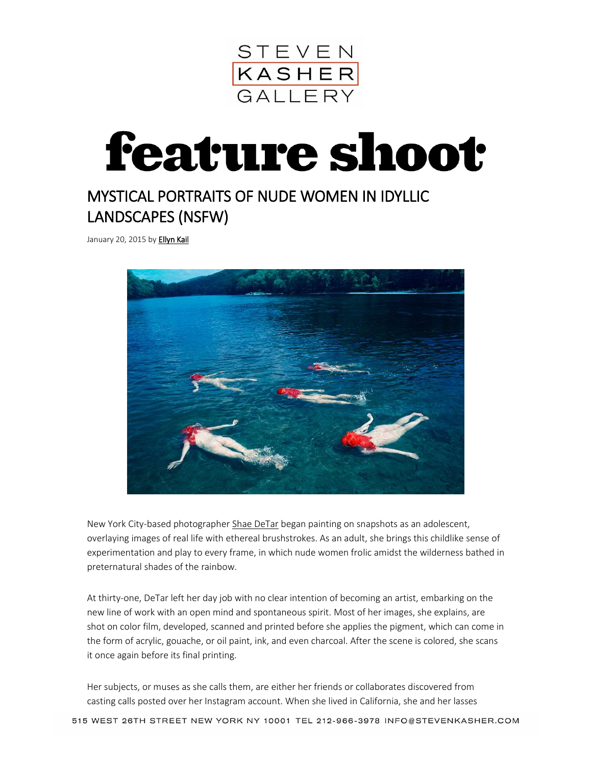

## **feature shoot**

## MYSTICAL PORTRAITS OF NUDE WOMEN IN IDYLLIC LANDSCAPES (NSFW)

January 20, 2015 by **Ellyn Kail** 



New York City-based photographer [Shae DeTar](http://shaedetar.com/) began painting on snapshots as an adolescent, overlaying images of real life with ethereal brushstrokes. As an adult, she brings this childlike sense of experimentation and play to every frame, in which nude women frolic amidst the wilderness bathed in preternatural shades of the rainbow.

At thirty-one, DeTar left her day job with no clear intention of becoming an artist, embarking on the new line of work with an open mind and spontaneous spirit. Most of her images, she explains, are shot on color film, developed, scanned and printed before she applies the pigment, which can come in the form of acrylic, gouache, or oil paint, ink, and even charcoal. After the scene is colored, she scans it once again before its final printing.

Her subjects, or muses as she calls them, are either her friends or collaborates discovered from casting calls posted over her Instagram account. When she lived in California, she and her lasses